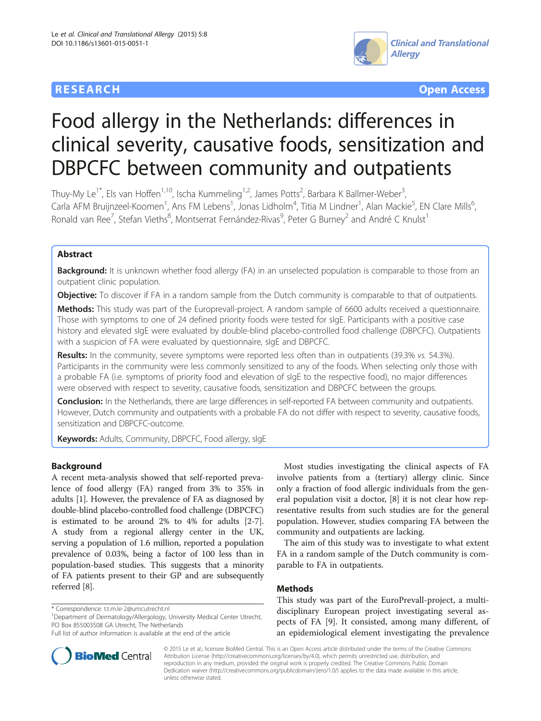## **RESEARCH CHE Open Access**



# Food allergy in the Netherlands: differences in clinical severity, causative foods, sensitization and DBPCFC between community and outpatients

Thuy-My Le<sup>1\*</sup>, Els van Hoffen<sup>1,10</sup>, Ischa Kummeling<sup>1,2</sup>, James Potts<sup>2</sup>, Barbara K Ballmer-Weber<sup>3</sup> , Carla AFM Bruijnzeel-Koomen<sup>1</sup>, Ans FM Lebens<sup>1</sup>, Jonas Lidholm<sup>4</sup>, Titia M Lindner<sup>1</sup>, Alan Mackie<sup>5</sup>, EN Clare Mills<sup>6</sup> , Ronald van Ree<sup>7</sup>, Stefan Vieths<sup>8</sup>, Montserrat Fernández-Rivas<sup>9</sup>, Peter G Burney<sup>2</sup> and André C Knulst<sup>1</sup>

## Abstract

**Background:** It is unknown whether food allergy (FA) in an unselected population is comparable to those from an outpatient clinic population.

**Objective:** To discover if FA in a random sample from the Dutch community is comparable to that of outpatients.

Methods: This study was part of the Europrevall-project. A random sample of 6600 adults received a questionnaire. Those with symptoms to one of 24 defined priority foods were tested for sIgE. Participants with a positive case history and elevated sIgE were evaluated by double-blind placebo-controlled food challenge (DBPCFC). Outpatients with a suspicion of FA were evaluated by questionnaire, sIgE and DBPCFC.

Results: In the community, severe symptoms were reported less often than in outpatients (39.3% vs. 54.3%). Participants in the community were less commonly sensitized to any of the foods. When selecting only those with a probable FA (i.e. symptoms of priority food and elevation of sIgE to the respective food), no major differences were observed with respect to severity, causative foods, sensitization and DBPCFC between the groups.

Conclusion: In the Netherlands, there are large differences in self-reported FA between community and outpatients. However, Dutch community and outpatients with a probable FA do not differ with respect to severity, causative foods, sensitization and DBPCFC-outcome.

Keywords: Adults, Community, DBPCFC, Food allergy, sIgE

## Background

A recent meta-analysis showed that self-reported prevalence of food allergy (FA) ranged from 3% to 35% in adults [[1\]](#page-7-0). However, the prevalence of FA as diagnosed by double-blind placebo-controlled food challenge (DBPCFC) is estimated to be around 2% to 4% for adults [\[2](#page-7-0)-[7](#page-7-0)]. A study from a regional allergy center in the UK, serving a population of 1.6 million, reported a population prevalence of 0.03%, being a factor of 100 less than in population-based studies. This suggests that a minority of FA patients present to their GP and are subsequently referred [\[8\]](#page-7-0).

\* Correspondence: [t.t.m.le-2@umcutrecht.nl](mailto:t.t.m.le-2@umcutrecht.nl) <sup>1</sup>

<sup>1</sup>Department of Dermatology/Allergology, University Medical Center Utrecht, PO Box 855003508 GA Utrecht, The Netherlands

Most studies investigating the clinical aspects of FA involve patients from a (tertiary) allergy clinic. Since only a fraction of food allergic individuals from the general population visit a doctor, [\[8\]](#page-7-0) it is not clear how representative results from such studies are for the general population. However, studies comparing FA between the community and outpatients are lacking.

The aim of this study was to investigate to what extent FA in a random sample of the Dutch community is comparable to FA in outpatients.

## Methods

This study was part of the EuroPrevall-project, a multidisciplinary European project investigating several aspects of FA [\[9](#page-7-0)]. It consisted, among many different, of an epidemiological element investigating the prevalence



© 2015 Le et al.; licensee BioMed Central. This is an Open Access article distributed under the terms of the Creative Commons Attribution License (<http://creativecommons.org/licenses/by/4.0>), which permits unrestricted use, distribution, and reproduction in any medium, provided the original work is properly credited. The Creative Commons Public Domain Dedication waiver [\(http://creativecommons.org/publicdomain/zero/1.0/](http://creativecommons.org/publicdomain/zero/1.0/)) applies to the data made available in this article, unless otherwise stated.

Full list of author information is available at the end of the article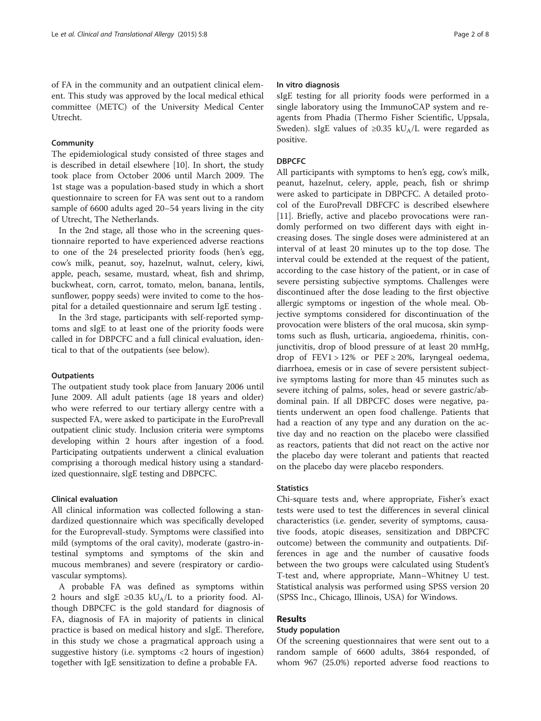of FA in the community and an outpatient clinical element. This study was approved by the local medical ethical committee (METC) of the University Medical Center Utrecht.

#### **Community**

The epidemiological study consisted of three stages and is described in detail elsewhere [[10\]](#page-7-0). In short, the study took place from October 2006 until March 2009. The 1st stage was a population-based study in which a short questionnaire to screen for FA was sent out to a random sample of 6600 adults aged 20–54 years living in the city of Utrecht, The Netherlands.

In the 2nd stage, all those who in the screening questionnaire reported to have experienced adverse reactions to one of the 24 preselected priority foods (hen's egg, cow's milk, peanut, soy, hazelnut, walnut, celery, kiwi, apple, peach, sesame, mustard, wheat, fish and shrimp, buckwheat, corn, carrot, tomato, melon, banana, lentils, sunflower, poppy seeds) were invited to come to the hospital for a detailed questionnaire and serum IgE testing .

In the 3rd stage, participants with self-reported symptoms and sIgE to at least one of the priority foods were called in for DBPCFC and a full clinical evaluation, identical to that of the outpatients (see below).

#### **Outpatients**

The outpatient study took place from January 2006 until June 2009. All adult patients (age 18 years and older) who were referred to our tertiary allergy centre with a suspected FA, were asked to participate in the EuroPrevall outpatient clinic study. Inclusion criteria were symptoms developing within 2 hours after ingestion of a food. Participating outpatients underwent a clinical evaluation comprising a thorough medical history using a standardized questionnaire, sIgE testing and DBPCFC.

### Clinical evaluation

All clinical information was collected following a standardized questionnaire which was specifically developed for the Europrevall-study. Symptoms were classified into mild (symptoms of the oral cavity), moderate (gastro-intestinal symptoms and symptoms of the skin and mucous membranes) and severe (respiratory or cardiovascular symptoms).

A probable FA was defined as symptoms within 2 hours and sIgE ≥0.35 kU<sub>A</sub>/L to a priority food. Although DBPCFC is the gold standard for diagnosis of FA, diagnosis of FA in majority of patients in clinical practice is based on medical history and sIgE. Therefore, in this study we chose a pragmatical approach using a suggestive history (i.e. symptoms <2 hours of ingestion) together with IgE sensitization to define a probable FA.

#### In vitro diagnosis

sIgE testing for all priority foods were performed in a single laboratory using the ImmunoCAP system and reagents from Phadia (Thermo Fisher Scientific, Uppsala, Sweden). sIgE values of  $\geq 0.35$  kU<sub>A</sub>/L were regarded as positive.

#### DBPCFC

All participants with symptoms to hen's egg, cow's milk, peanut, hazelnut, celery, apple, peach, fish or shrimp were asked to participate in DBPCFC. A detailed protocol of the EuroPrevall DBFCFC is described elsewhere [[11\]](#page-7-0). Briefly, active and placebo provocations were randomly performed on two different days with eight increasing doses. The single doses were administered at an interval of at least 20 minutes up to the top dose. The interval could be extended at the request of the patient, according to the case history of the patient, or in case of severe persisting subjective symptoms. Challenges were discontinued after the dose leading to the first objective allergic symptoms or ingestion of the whole meal. Objective symptoms considered for discontinuation of the provocation were blisters of the oral mucosa, skin symptoms such as flush, urticaria, angioedema, rhinitis, conjunctivitis, drop of blood pressure of at least 20 mmHg, drop of  $FEV1 > 12\%$  or  $PEF \ge 20\%$ , laryngeal oedema, diarrhoea, emesis or in case of severe persistent subjective symptoms lasting for more than 45 minutes such as severe itching of palms, soles, head or severe gastric/abdominal pain. If all DBPCFC doses were negative, patients underwent an open food challenge. Patients that had a reaction of any type and any duration on the active day and no reaction on the placebo were classified as reactors, patients that did not react on the active nor the placebo day were tolerant and patients that reacted on the placebo day were placebo responders.

#### **Statistics**

Chi-square tests and, where appropriate, Fisher's exact tests were used to test the differences in several clinical characteristics (i.e. gender, severity of symptoms, causative foods, atopic diseases, sensitization and DBPCFC outcome) between the community and outpatients. Differences in age and the number of causative foods between the two groups were calculated using Student's T-test and, where appropriate, Mann–Whitney U test. Statistical analysis was performed using SPSS version 20 (SPSS Inc., Chicago, Illinois, USA) for Windows.

## Results

### Study population

Of the screening questionnaires that were sent out to a random sample of 6600 adults, 3864 responded, of whom 967 (25.0%) reported adverse food reactions to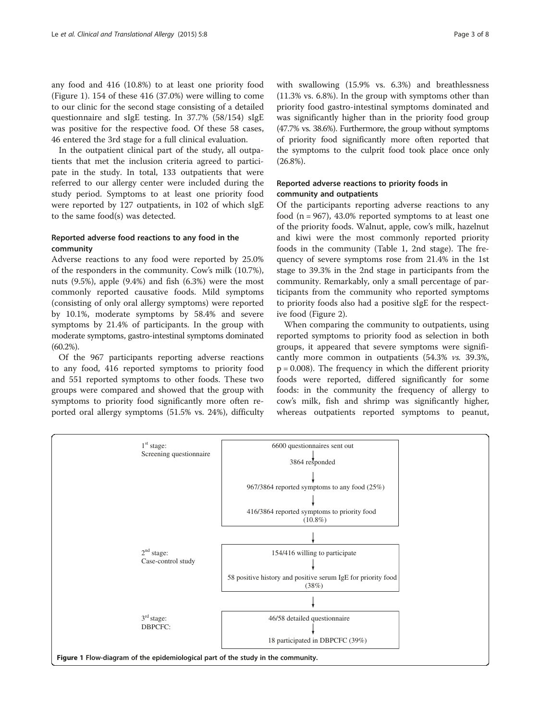any food and 416 (10.8%) to at least one priority food (Figure 1). 154 of these 416 (37.0%) were willing to come to our clinic for the second stage consisting of a detailed questionnaire and sIgE testing. In 37.7% (58/154) sIgE was positive for the respective food. Of these 58 cases, 46 entered the 3rd stage for a full clinical evaluation.

In the outpatient clinical part of the study, all outpatients that met the inclusion criteria agreed to participate in the study. In total, 133 outpatients that were referred to our allergy center were included during the study period. Symptoms to at least one priority food were reported by 127 outpatients, in 102 of which sIgE to the same food(s) was detected.

## Reported adverse food reactions to any food in the community

Adverse reactions to any food were reported by 25.0% of the responders in the community. Cow's milk (10.7%), nuts (9.5%), apple (9.4%) and fish (6.3%) were the most commonly reported causative foods. Mild symptoms (consisting of only oral allergy symptoms) were reported by 10.1%, moderate symptoms by 58.4% and severe symptoms by 21.4% of participants. In the group with moderate symptoms, gastro-intestinal symptoms dominated (60.2%).

Of the 967 participants reporting adverse reactions to any food, 416 reported symptoms to priority food and 551 reported symptoms to other foods. These two groups were compared and showed that the group with symptoms to priority food significantly more often reported oral allergy symptoms (51.5% vs. 24%), difficulty with swallowing (15.9% vs. 6.3%) and breathlessness (11.3% vs. 6.8%). In the group with symptoms other than priority food gastro-intestinal symptoms dominated and was significantly higher than in the priority food group (47.7% vs. 38.6%). Furthermore, the group without symptoms of priority food significantly more often reported that the symptoms to the culprit food took place once only (26.8%).

## Reported adverse reactions to priority foods in community and outpatients

Of the participants reporting adverse reactions to any food  $(n = 967)$ , 43.0% reported symptoms to at least one of the priority foods. Walnut, apple, cow's milk, hazelnut and kiwi were the most commonly reported priority foods in the community (Table [1,](#page-3-0) 2nd stage). The frequency of severe symptoms rose from 21.4% in the 1st stage to 39.3% in the 2nd stage in participants from the community. Remarkably, only a small percentage of participants from the community who reported symptoms to priority foods also had a positive sIgE for the respective food (Figure [2](#page-4-0)).

When comparing the community to outpatients, using reported symptoms to priority food as selection in both groups, it appeared that severe symptoms were significantly more common in outpatients (54.3% vs. 39.3%,  $p = 0.008$ ). The frequency in which the different priority foods were reported, differed significantly for some foods: in the community the frequency of allergy to cow's milk, fish and shrimp was significantly higher, whereas outpatients reported symptoms to peanut,

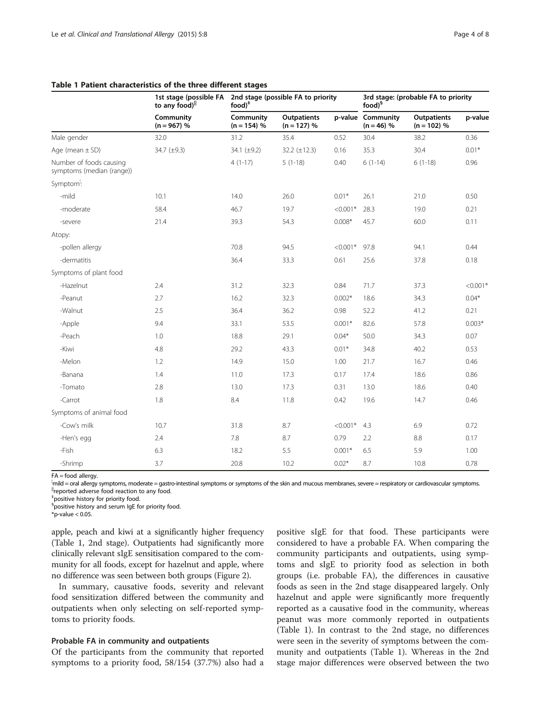|                                                      | 1st stage (possible FA<br>to any food) <sup>  </sup> | $food)^*$                  | 2nd stage (possible FA to priority  |            | 3rd stage: (probable FA to priority<br>food) <sup>§</sup> |                                     |            |  |  |
|------------------------------------------------------|------------------------------------------------------|----------------------------|-------------------------------------|------------|-----------------------------------------------------------|-------------------------------------|------------|--|--|
|                                                      | Community<br>$(n = 967) %$                           | Community<br>$(n = 154)$ % | <b>Outpatients</b><br>$(n = 127) %$ |            | p-value Community<br>$(n = 46) %$                         | <b>Outpatients</b><br>$(n = 102) %$ | p-value    |  |  |
| Male gender                                          | 32.0                                                 | 31.2                       | 35.4                                | 0.52       | 30.4                                                      | 38.2                                | 0.36       |  |  |
| Age (mean $\pm$ SD)                                  | 34.7 (±9.3)                                          | 34.1 $(\pm 9.2)$           | 32.2 $(\pm 12.3)$                   | 0.16       | 35.3                                                      | 30.4                                | $0.01*$    |  |  |
| Number of foods causing<br>symptoms (median (range)) |                                                      | $4(1-17)$                  | $5(1-18)$                           | 0.40       | $6(1-14)$                                                 | $6(1-18)$                           | 0.96       |  |  |
| Symptom <sup>1</sup> :                               |                                                      |                            |                                     |            |                                                           |                                     |            |  |  |
| -mild                                                | 10.1                                                 | 14.0                       | 26.0                                | $0.01*$    | 26.1                                                      | 21.0                                | 0.50       |  |  |
| -moderate                                            | 58.4                                                 | 46.7                       | 19.7                                | $< 0.001*$ | 28.3                                                      | 19.0                                | 0.21       |  |  |
| -severe                                              | 21.4                                                 | 39.3                       | 54.3                                | $0.008*$   | 45.7                                                      | 60.0                                | 0.11       |  |  |
| Atopy:                                               |                                                      |                            |                                     |            |                                                           |                                     |            |  |  |
| -pollen allergy                                      |                                                      | 70.8                       | 94.5                                | $< 0.001*$ | 97.8                                                      | 94.1                                | 0.44       |  |  |
| -dermatitis                                          |                                                      | 36.4                       | 33.3                                | 0.61       | 25.6                                                      | 37.8                                | 0.18       |  |  |
| Symptoms of plant food                               |                                                      |                            |                                     |            |                                                           |                                     |            |  |  |
| -Hazelnut                                            | 2.4                                                  | 31.2                       | 32.3                                | 0.84       | 71.7                                                      | 37.3                                | $< 0.001*$ |  |  |
| -Peanut                                              | 2.7                                                  | 16.2                       | 32.3                                | $0.002*$   | 18.6                                                      | 34.3                                | $0.04*$    |  |  |
| -Walnut                                              | 2.5                                                  | 36.4                       | 36.2                                | 0.98       | 52.2                                                      | 41.2                                | 0.21       |  |  |
| -Apple                                               | 9.4                                                  | 33.1                       | 53.5                                | $0.001*$   | 82.6                                                      | 57.8                                | $0.003*$   |  |  |
| -Peach                                               | 1.0                                                  | 18.8                       | 29.1                                | $0.04*$    | 50.0                                                      | 34.3                                | 0.07       |  |  |
| -Kiwi                                                | 4.8                                                  | 29.2                       | 43.3                                | $0.01*$    | 34.8                                                      | 40.2                                | 0.53       |  |  |
| -Melon                                               | 1.2                                                  | 14.9                       | 15.0                                | 1.00       | 21.7                                                      | 16.7                                | 0.46       |  |  |
| -Banana                                              | 1.4                                                  | 11.0                       | 17.3                                | 0.17       | 17.4                                                      | 18.6                                | 0.86       |  |  |
| -Tomato                                              | 2.8                                                  | 13.0                       | 17.3                                | 0.31       | 13.0                                                      | 18.6                                | 0.40       |  |  |
| -Carrot                                              | $1.8\,$                                              | 8.4                        | 11.8                                | 0.42       | 19.6                                                      | 14.7                                | 0.46       |  |  |
| Symptoms of animal food                              |                                                      |                            |                                     |            |                                                           |                                     |            |  |  |
| -Cow's milk                                          | 10.7                                                 | 31.8                       | 8.7                                 | $< 0.001*$ | 4.3                                                       | 6.9                                 | 0.72       |  |  |
| -Hen's egg                                           | 2.4                                                  | 7.8                        | 8.7                                 | 0.79       | 2.2                                                       | 8.8                                 | 0.17       |  |  |
| -Fish                                                | 6.3                                                  | 18.2                       | 5.5                                 | $0.001*$   | 6.5                                                       | 5.9                                 | 1.00       |  |  |
| -Shrimp                                              | 3.7                                                  | 20.8                       | 10.2                                | $0.02*$    | 8.7                                                       | 10.8                                | 0.78       |  |  |

#### <span id="page-3-0"></span>Table 1 Patient characteristics of the three different stages

FA = food allergy.

<sub>.</sub><br>¦mild = oral allergy symptoms, moderate = gastro-intestinal symptoms or symptoms of the skin and mucous membranes, severe = respiratory or cardiovascular symptoms <sup>II</sup>reported adverse food reaction to any food.

‡ positive history for priority food.

<sup>§</sup>positive history and serum IgE for priority food.

 $*$ p-value < 0.05.

apple, peach and kiwi at a significantly higher frequency (Table 1, 2nd stage). Outpatients had significantly more clinically relevant sIgE sensitisation compared to the community for all foods, except for hazelnut and apple, where no difference was seen between both groups (Figure [2](#page-4-0)).

In summary, causative foods, severity and relevant food sensitization differed between the community and outpatients when only selecting on self-reported symptoms to priority foods.

#### Probable FA in community and outpatients

Of the participants from the community that reported symptoms to a priority food, 58/154 (37.7%) also had a

positive sIgE for that food. These participants were considered to have a probable FA. When comparing the community participants and outpatients, using symptoms and sIgE to priority food as selection in both groups (i.e. probable FA), the differences in causative foods as seen in the 2nd stage disappeared largely. Only hazelnut and apple were significantly more frequently reported as a causative food in the community, whereas peanut was more commonly reported in outpatients (Table 1). In contrast to the 2nd stage, no differences were seen in the severity of symptoms between the community and outpatients (Table 1). Whereas in the 2nd stage major differences were observed between the two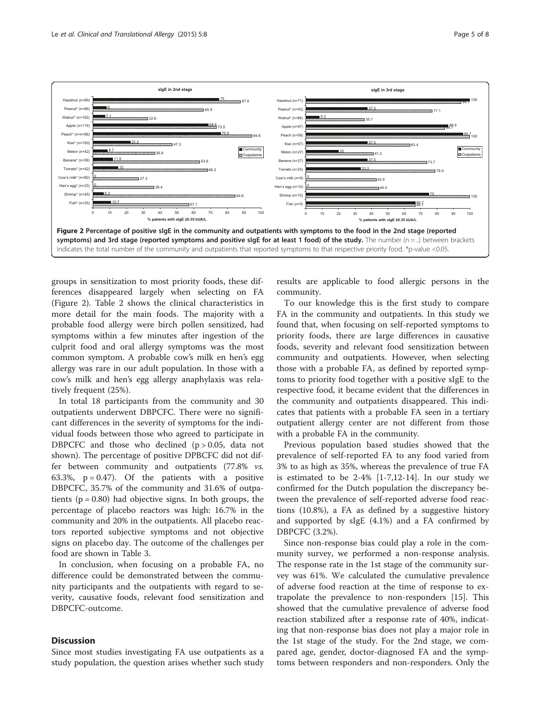<span id="page-4-0"></span>

groups in sensitization to most priority foods, these differences disappeared largely when selecting on FA (Figure 2). Table [2](#page-5-0) shows the clinical characteristics in more detail for the main foods. The majority with a probable food allergy were birch pollen sensitized, had symptoms within a few minutes after ingestion of the culprit food and oral allergy symptoms was the most common symptom. A probable cow's milk en hen's egg allergy was rare in our adult population. In those with a cow's milk and hen's egg allergy anaphylaxis was relatively frequent (25%).

In total 18 participants from the community and 30 outpatients underwent DBPCFC. There were no significant differences in the severity of symptoms for the individual foods between those who agreed to participate in DBPCFC and those who declined  $(p > 0.05,$  data not shown). The percentage of positive DPBCFC did not differ between community and outpatients (77.8% vs. 63.3%,  $p = 0.47$ ). Of the patients with a positive DBPCFC, 35.7% of the community and 31.6% of outpatients ( $p = 0.80$ ) had objective signs. In both groups, the percentage of placebo reactors was high: 16.7% in the community and 20% in the outpatients. All placebo reactors reported subjective symptoms and not objective signs on placebo day. The outcome of the challenges per food are shown in Table [3.](#page-6-0)

In conclusion, when focusing on a probable FA, no difference could be demonstrated between the community participants and the outpatients with regard to severity, causative foods, relevant food sensitization and DBPCFC-outcome.

#### **Discussion**

Since most studies investigating FA use outpatients as a study population, the question arises whether such study

results are applicable to food allergic persons in the community.

To our knowledge this is the first study to compare FA in the community and outpatients. In this study we found that, when focusing on self-reported symptoms to priority foods, there are large differences in causative foods, severity and relevant food sensitization between community and outpatients. However, when selecting those with a probable FA, as defined by reported symptoms to priority food together with a positive sIgE to the respective food, it became evident that the differences in the community and outpatients disappeared. This indicates that patients with a probable FA seen in a tertiary outpatient allergy center are not different from those with a probable FA in the community.

Previous population based studies showed that the prevalence of self-reported FA to any food varied from 3% to as high as 35%, whereas the prevalence of true FA is estimated to be 2-4% [[1-7,12-14](#page-7-0)]. In our study we confirmed for the Dutch population the discrepancy between the prevalence of self-reported adverse food reactions (10.8%), a FA as defined by a suggestive history and supported by sIgE (4.1%) and a FA confirmed by DBPCFC (3.2%).

Since non-response bias could play a role in the community survey, we performed a non-response analysis. The response rate in the 1st stage of the community survey was 61%. We calculated the cumulative prevalence of adverse food reaction at the time of response to extrapolate the prevalence to non-responders [[15\]](#page-7-0). This showed that the cumulative prevalence of adverse food reaction stabilized after a response rate of 40%, indicating that non-response bias does not play a major role in the 1st stage of the study. For the 2nd stage, we compared age, gender, doctor-diagnosed FA and the symptoms between responders and non-responders. Only the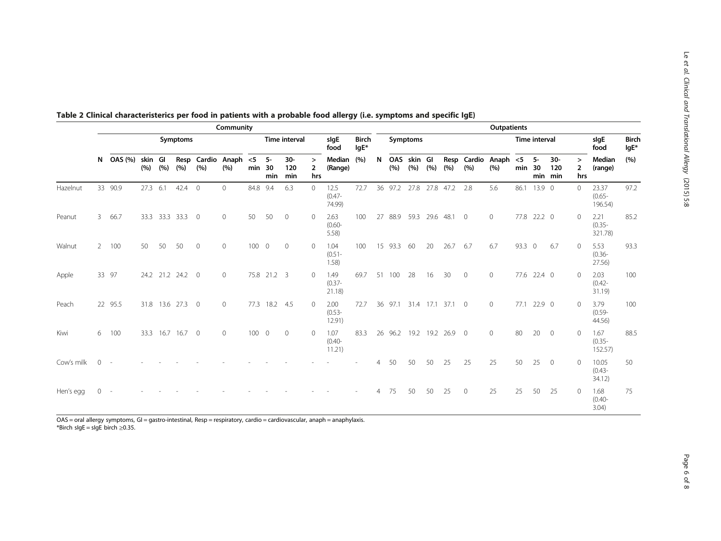|            | Community     |         |                 |                |             |                |                            |              |                   |                      |                | <b>Outpatients</b>          |                        |    |            |                |      |           |                |                          |              |                      |                         |                                 |                               |                      |
|------------|---------------|---------|-----------------|----------------|-------------|----------------|----------------------------|--------------|-------------------|----------------------|----------------|-----------------------------|------------------------|----|------------|----------------|------|-----------|----------------|--------------------------|--------------|----------------------|-------------------------|---------------------------------|-------------------------------|----------------------|
|            | Symptoms      |         |                 |                |             |                |                            |              |                   | <b>Time interval</b> |                | sigE<br>food                | <b>Birch</b><br>$lgE*$ |    |            | Symptoms       |      |           |                |                          |              | <b>Time interval</b> |                         |                                 | slgE<br>food                  | <b>Birch</b><br>lgE* |
|            | N             | OAS (%) | skin Gl<br>(% ) | (%)            | (%)         | (%)            | Resp Cardio Anaph<br>(9/6) | $<$ 5<br>min | $5-$<br>30<br>min | $30-$<br>120<br>min  | ><br>2<br>hrs  | Median<br>(Range)           | (%)                    | N  | OAS<br>(%) | skin Gl<br>(%) | (%)  | (%)       | (%)            | Resp Cardio Anaph<br>(%) | $<$ 5<br>min | -5<br>30             | $30-$<br>120<br>min min | $\geq$<br>$\overline{2}$<br>hrs | Median<br>(range)             | (%)                  |
| Hazelnut   |               | 33 90.9 | 27.3            | 6.1            | 42.4        | $\overline{0}$ | $\Omega$                   | 84.8         | 9.4               | 6.3                  | $\Omega$       | 12.5<br>$(0.47 -$<br>74.99) | 72.7                   | 36 | 97.2       | 27.8           | 27.8 | 47.2      | 2.8            | 5.6                      | 86.1         | 13.9 0               |                         | $\Omega$                        | 23.37<br>$(0.65 -$<br>196.54) | 97.2                 |
| Peanut     | 3             | 66.7    | 33.3            | 33.3 33.3      |             | $\overline{0}$ | $\circ$                    | 50           | 50                | $\mathbf{0}$         | $\Omega$       | 2.63<br>$(0.60 -$<br>5.58   | 100                    | 27 | 88.9       | 59.3           | 29.6 | 48.1      | $\overline{0}$ | $\mathbf{0}$             |              | 77.8 22.2 0          |                         | $\circ$                         | 2.21<br>$(0.35 -$<br>321.78)  | 85.2                 |
| Walnut     | $\mathcal{P}$ | 100     | 50              | 50             | 50          | $\mathbf{0}$   | $\mathbf{0}$               | 100 0        |                   | $\mathbf{0}$         | $\overline{0}$ | 1.04<br>$(0.51 -$<br>1.58)  | 100                    |    | 15 93.3    | 60             | 20   | 26.7      | 6.7            | 6.7                      | 93.3 0       |                      | 6.7                     | $\circ$                         | 5.53<br>$(0.36 -$<br>27.56    | 93.3                 |
| Apple      |               | 33 97   |                 | 24.2 21.2 24.2 |             | $\mathbf 0$    | $\mathbf{0}$               |              | 75.8 21.2 3       |                      | $\overline{0}$ | 1.49<br>$(0.37 -$<br>21.18) | 69.7                   | 51 | 100        | 28             | 16   | 30        | $\circ$        | $\mathbf{0}$             | 77.6         | $22.4 \quad 0$       |                         | $\Omega$                        | 2.03<br>$(0.42 -$<br>31.19)   | 100                  |
| Peach      |               | 22 95.5 | 31.8            |                | 13.6 27.3 0 |                | $\circ$                    | 77.3         | 18.2 4.5          |                      | $\Omega$       | 2.00<br>$(0.53 -$<br>12.91) | 72.7                   |    | 36 97.1    | 31.4           | 17.1 | 37.1      | $\overline{0}$ | $\mathbf{0}$             | 77.1         | $22.9$ 0             |                         | $\circ$                         | 3.79<br>$(0.59 -$<br>44.56)   | 100                  |
| Kiwi       | 6             | 100     | 33.3            | 16.7           | 16.7        | $\overline{0}$ | $\circ$                    | 1000         |                   | $\mathbf{0}$         | $\Omega$       | 1.07<br>$(0.40 -$<br>11.21) | 83.3                   | 26 |            | 96.2 19.2      |      | 19.2 26.9 | $\overline{0}$ | $\mathbf{0}$             | 80           | 20                   | $\overline{0}$          | $\circ$                         | 1.67<br>$(0.35 -$<br>152.57)  | 88.5                 |
| Cow's milk | $\Omega$      |         |                 |                |             |                |                            |              |                   |                      |                |                             |                        | 4  | 50         | 50             | 50   | 25        | 25             | 25                       | 50           | 25                   | $\overline{0}$          | $\circ$                         | 10.05<br>$(0.43 -$<br>34.12   | 50                   |
| Hen's egg  | $\Omega$      |         |                 |                |             |                |                            |              |                   |                      |                |                             |                        |    | 75         | 50             | 50   | 25        | $\circ$        | 25                       | 25           | 50                   | 25                      | $\circ$                         | 1.68<br>$(0.40 -$<br>3.04)    | 75                   |

<span id="page-5-0"></span>

|  |  |  | Table 2 Clinical characteristerics per food in patients with a probable food allergy (i.e. symptoms and specific IgE) |
|--|--|--|-----------------------------------------------------------------------------------------------------------------------|
|--|--|--|-----------------------------------------------------------------------------------------------------------------------|

OAS = oral allergy symptoms, GI = gastro-intestinal, Resp = respiratory, cardio = cardiovascular, anaph = anaphylaxis. \*Birch sIgE = sIgE birch ≥0.35.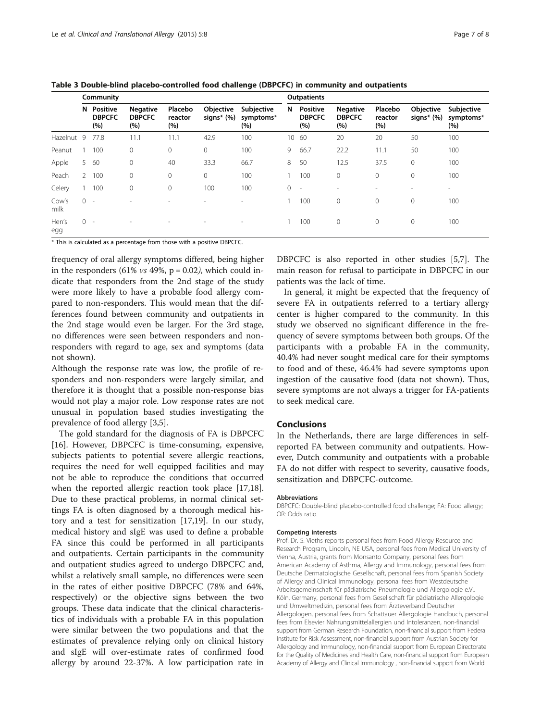|               |              | Community                        |                                         |                           |                            |                                | <b>Outpatients</b> |                                         |                                         |                           |                            |                                |  |  |  |  |
|---------------|--------------|----------------------------------|-----------------------------------------|---------------------------|----------------------------|--------------------------------|--------------------|-----------------------------------------|-----------------------------------------|---------------------------|----------------------------|--------------------------------|--|--|--|--|
|               | N            | Positive<br><b>DBPCFC</b><br>(%) | <b>Negative</b><br><b>DBPCFC</b><br>(%) | Placebo<br>reactor<br>(%) | Objective<br>signs $*(\%)$ | Subjective<br>symptoms*<br>(%) | N                  | <b>Positive</b><br><b>DBPCFC</b><br>(%) | <b>Negative</b><br><b>DBPCFC</b><br>(%) | Placebo<br>reactor<br>(%) | Objective<br>signs $*(\%)$ | Subjective<br>symptoms*<br>(%) |  |  |  |  |
| Hazelnut 9    |              | 77.8                             | 11.1                                    | 11.1                      | 42.9                       | 100                            | 10 <sup>°</sup>    | 60                                      | 20                                      | 20                        | 50                         | 100                            |  |  |  |  |
| Peanut        |              | 100                              | $\mathbf{0}$                            | $\mathbf 0$               | 0                          | 100                            | 9                  | 66.7                                    | 22.2                                    | 11.1                      | 50                         | 100                            |  |  |  |  |
| Apple         | 5            | 60                               | $\mathbf{0}$                            | 40                        | 33.3                       | 66.7                           | 8                  | 50                                      | 12.5                                    | 37.5                      | $\mathbf{0}$               | 100                            |  |  |  |  |
| Peach         | $\mathbf{2}$ | 100                              |                                         | $\mathbf 0$               | 0                          | 100                            |                    | 100                                     | $\mathbf{0}$                            | 0                         | $\mathbf{0}$               | 100                            |  |  |  |  |
| Celery        |              | 100                              | 0                                       | $\mathbf 0$               | 100                        | 100                            | $\circ$            | $\sim$                                  | ۰.                                      | $\overline{\phantom{a}}$  | $\overline{\phantom{a}}$   | $\overline{\phantom{a}}$       |  |  |  |  |
| Cow's<br>milk | $0 -$        |                                  |                                         |                           |                            | $\overline{\phantom{a}}$       |                    | 100                                     | $\mathbf{0}$                            | 0                         | $\mathbf{0}$               | 100                            |  |  |  |  |
| Hen's<br>egg  | $0 -$        |                                  |                                         |                           |                            | $\overline{\phantom{a}}$       |                    | 100                                     | 0                                       | 0                         | $\mathbf{0}$               | 100                            |  |  |  |  |

<span id="page-6-0"></span>Table 3 Double-blind placebo-controlled food challenge (DBPCFC) in community and outpatients

\* This is calculated as a percentage from those with a positive DBPCFC.

frequency of oral allergy symptoms differed, being higher in the responders  $(61\% vs 49\%, p = 0.02)$ , which could indicate that responders from the 2nd stage of the study were more likely to have a probable food allergy compared to non-responders. This would mean that the differences found between community and outpatients in the 2nd stage would even be larger. For the 3rd stage, no differences were seen between responders and nonresponders with regard to age, sex and symptoms (data not shown).

Although the response rate was low, the profile of responders and non-responders were largely similar, and therefore it is thought that a possible non-response bias would not play a major role. Low response rates are not unusual in population based studies investigating the prevalence of food allergy [\[3,5](#page-7-0)].

The gold standard for the diagnosis of FA is DBPCFC [[16\]](#page-7-0). However, DBPCFC is time-consuming, expensive, subjects patients to potential severe allergic reactions, requires the need for well equipped facilities and may not be able to reproduce the conditions that occurred when the reported allergic reaction took place [\[17,18](#page-7-0)]. Due to these practical problems, in normal clinical settings FA is often diagnosed by a thorough medical history and a test for sensitization [[17,19\]](#page-7-0). In our study, medical history and sIgE was used to define a probable FA since this could be performed in all participants and outpatients. Certain participants in the community and outpatient studies agreed to undergo DBPCFC and, whilst a relatively small sample, no differences were seen in the rates of either positive DBPCFC (78% and 64%, respectively) or the objective signs between the two groups. These data indicate that the clinical characteristics of individuals with a probable FA in this population were similar between the two populations and that the estimates of prevalence relying only on clinical history and sIgE will over-estimate rates of confirmed food allergy by around 22-37%. A low participation rate in

DBPCFC is also reported in other studies [\[5](#page-7-0),[7](#page-7-0)]. The main reason for refusal to participate in DBPCFC in our patients was the lack of time.

In general, it might be expected that the frequency of severe FA in outpatients referred to a tertiary allergy center is higher compared to the community. In this study we observed no significant difference in the frequency of severe symptoms between both groups. Of the participants with a probable FA in the community, 40.4% had never sought medical care for their symptoms to food and of these, 46.4% had severe symptoms upon ingestion of the causative food (data not shown). Thus, severe symptoms are not always a trigger for FA-patients to seek medical care.

#### Conclusions

In the Netherlands, there are large differences in selfreported FA between community and outpatients. However, Dutch community and outpatients with a probable FA do not differ with respect to severity, causative foods, sensitization and DBPCFC-outcome.

#### Abbreviations

DBPCFC: Double-blind placebo-controlled food challenge; FA: Food allergy; OR: Odds ratio.

#### Competing interests

Prof. Dr. S. Vieths reports personal fees from Food Allergy Resource and Research Program, Lincoln, NE USA, personal fees from Medical University of Vienna, Austria, grants from Monsanto Company, personal fees from American Academy of Asthma, Allergy and Immunology, personal fees from Deutsche Dermatologische Gesellschaft, personal fees from Spanish Society of Allergy and Clinical Immunology, personal fees from Westdeutsche Arbeitsgemeinschaft für pädiatrische Pneumologie und Allergologie e.V., Köln, Germany, personal fees from Gesellschaft für pädiatrische Allergologie und Umweltmedizin, personal fees from Ärzteverband Deutscher Allergologen, personal fees from Schattauer Allergologie Handbuch, personal fees from Elsevier Nahrungsmittelallergien und Intoleranzen, non-financial support from German Research Foundation, non-financial support from Federal Institute for Risk Assessment, non-financial support from Austrian Society for Allergology and Immunology, non-financial support from European Directorate for the Quality of Medicines and Health Care, non-financial support from European Academy of Allergy and Clinical Immunology , non-financial support from World